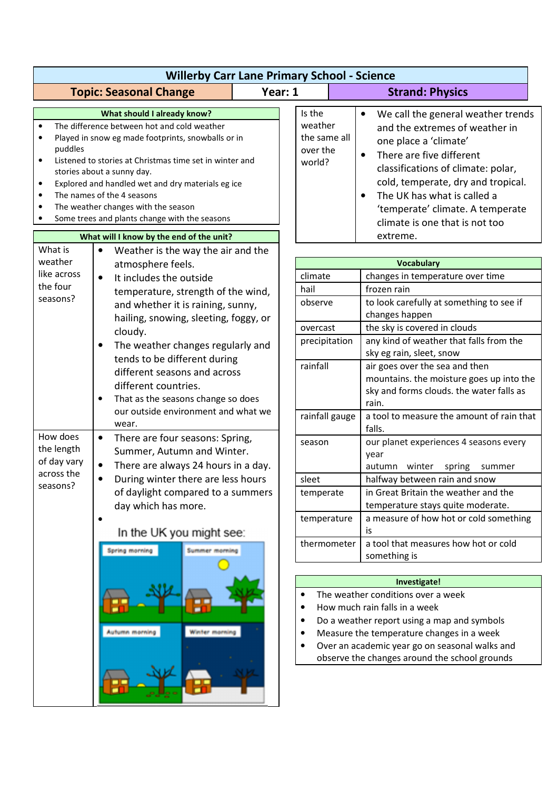|                                                                                       | <b>Willerby Carr Lane Primary School - Science</b>                                                                                                                                                                                                                                                                                                                                                                                               |         |                                                                                                                                                                                                                                                                    |              |                                                                                                                                                                                                                                                                                                                                                               |  |
|---------------------------------------------------------------------------------------|--------------------------------------------------------------------------------------------------------------------------------------------------------------------------------------------------------------------------------------------------------------------------------------------------------------------------------------------------------------------------------------------------------------------------------------------------|---------|--------------------------------------------------------------------------------------------------------------------------------------------------------------------------------------------------------------------------------------------------------------------|--------------|---------------------------------------------------------------------------------------------------------------------------------------------------------------------------------------------------------------------------------------------------------------------------------------------------------------------------------------------------------------|--|
|                                                                                       | <b>Topic: Seasonal Change</b>                                                                                                                                                                                                                                                                                                                                                                                                                    | Year: 1 |                                                                                                                                                                                                                                                                    |              | <b>Strand: Physics</b>                                                                                                                                                                                                                                                                                                                                        |  |
| $\bullet$<br>$\bullet$<br>puddles<br>$\bullet$<br>$\bullet$<br>$\bullet$<br>$\bullet$ | What should I already know?<br>The difference between hot and cold weather<br>Played in snow eg made footprints, snowballs or in<br>Listened to stories at Christmas time set in winter and<br>stories about a sunny day.<br>Explored and handled wet and dry materials eg ice<br>The names of the 4 seasons<br>The weather changes with the season<br>Some trees and plants change with the seasons<br>What will I know by the end of the unit? |         | Is the<br>weather<br>the same all<br>over the<br>world?                                                                                                                                                                                                            |              | We call the general weather trends<br>$\bullet$<br>and the extremes of weather in<br>one place a 'climate'<br>There are five different<br>$\bullet$<br>classifications of climate: polar,<br>cold, temperate, dry and tropical.<br>The UK has what is called a<br>$\bullet$<br>'temperate' climate. A temperate<br>climate is one that is not too<br>extreme. |  |
| What is                                                                               | Weather is the way the air and the                                                                                                                                                                                                                                                                                                                                                                                                               |         |                                                                                                                                                                                                                                                                    |              |                                                                                                                                                                                                                                                                                                                                                               |  |
| weather<br>like across<br>the four<br>seasons?                                        | atmosphere feels.<br>$\bullet$<br>It includes the outside<br>temperature, strength of the wind,<br>and whether it is raining, sunny,                                                                                                                                                                                                                                                                                                             |         | climate<br>hail<br>observe                                                                                                                                                                                                                                         |              | <b>Vocabulary</b><br>changes in temperature over time<br>frozen rain<br>to look carefully at something to see if                                                                                                                                                                                                                                              |  |
|                                                                                       | hailing, snowing, sleeting, foggy, or<br>cloudy.<br>The weather changes regularly and<br>$\bullet$                                                                                                                                                                                                                                                                                                                                               |         | overcast<br>precipitation                                                                                                                                                                                                                                          |              | changes happen<br>the sky is covered in clouds<br>any kind of weather that falls from the                                                                                                                                                                                                                                                                     |  |
|                                                                                       | tends to be different during<br>different seasons and across<br>different countries.<br>That as the seasons change so does<br>$\bullet$<br>our outside environment and what we<br>wear.                                                                                                                                                                                                                                                          |         | rainfall<br>rainfall gauge                                                                                                                                                                                                                                         |              | sky eg rain, sleet, snow<br>air goes over the sea and then<br>mountains. the moisture goes up into the<br>sky and forms clouds. the water falls as<br>rain.<br>a tool to measure the amount of rain that<br>falls.                                                                                                                                            |  |
| How does                                                                              |                                                                                                                                                                                                                                                                                                                                                                                                                                                  |         |                                                                                                                                                                                                                                                                    |              |                                                                                                                                                                                                                                                                                                                                                               |  |
| the length<br>of day vary                                                             | There are four seasons: Spring,<br>$\bullet$<br>Summer, Autumn and Winter.<br>There are always 24 hours in a day.<br>$\bullet$<br>During winter there are less hours<br>$\bullet$                                                                                                                                                                                                                                                                |         | season                                                                                                                                                                                                                                                             |              | our planet experiences 4 seasons every<br>year<br>autumn winter<br>spring<br>summer                                                                                                                                                                                                                                                                           |  |
| across the<br>seasons?                                                                |                                                                                                                                                                                                                                                                                                                                                                                                                                                  |         | sleet                                                                                                                                                                                                                                                              |              | halfway between rain and snow                                                                                                                                                                                                                                                                                                                                 |  |
|                                                                                       | of daylight compared to a summers<br>day which has more.                                                                                                                                                                                                                                                                                                                                                                                         |         | temperate                                                                                                                                                                                                                                                          |              | in Great Britain the weather and the<br>temperature stays quite moderate.                                                                                                                                                                                                                                                                                     |  |
|                                                                                       | ٠<br>In the UK you might see:<br>Summer morning<br>Spring morning                                                                                                                                                                                                                                                                                                                                                                                |         | temperature                                                                                                                                                                                                                                                        |              | a measure of how hot or cold something<br>is.                                                                                                                                                                                                                                                                                                                 |  |
|                                                                                       |                                                                                                                                                                                                                                                                                                                                                                                                                                                  |         | thermometer                                                                                                                                                                                                                                                        |              | a tool that measures how hot or cold<br>something is                                                                                                                                                                                                                                                                                                          |  |
|                                                                                       |                                                                                                                                                                                                                                                                                                                                                                                                                                                  |         |                                                                                                                                                                                                                                                                    | Investigate! |                                                                                                                                                                                                                                                                                                                                                               |  |
|                                                                                       | Autumn morning<br>Winter morning                                                                                                                                                                                                                                                                                                                                                                                                                 | ٠       | The weather conditions over a week<br>How much rain falls in a week<br>Do a weather report using a map and symbols<br>Measure the temperature changes in a week<br>Over an academic year go on seasonal walks and<br>observe the changes around the school grounds |              |                                                                                                                                                                                                                                                                                                                                                               |  |